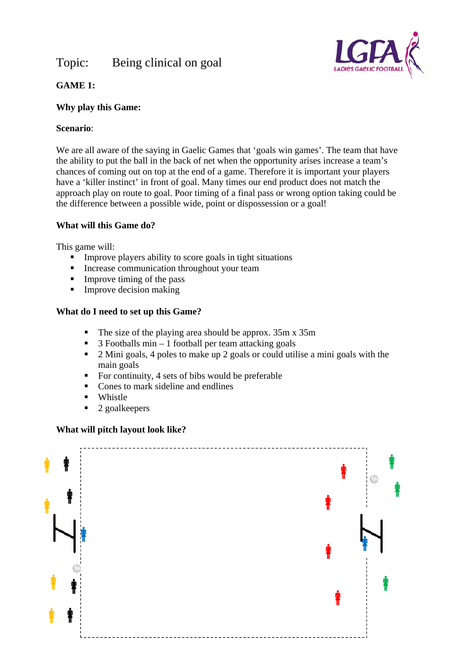# Topic: Being clinical on goal



# **GAME 1:**

# **Why play this Game:**

# **Scenario**:

We are all aware of the saying in Gaelic Games that 'goals win games'. The team that have the ability to put the ball in the back of net when the opportunity arises increase a team's chances of coming out on top at the end of a game. Therefore it is important your players have a 'killer instinct' in front of goal. Many times our end product does not match the approach play on route to goal. Poor timing of a final pass or wrong option taking could be the difference between a possible wide, point or dispossession or a goal!

## **What will this Game do?**

This game will:

- **IMPROVE players ability to score goals in tight situations**
- **Increase communication throughout your team**
- $\blacksquare$  Improve timing of the pass
- $\blacksquare$  Improve decision making

## **What do I need to set up this Game?**

- The size of the playing area should be approx. 35m x 35m
- $\blacksquare$  3 Footballs min 1 football per team attacking goals
- <sup>2</sup> Mini goals, 4 poles to make up 2 goals or could utilise a mini goals with the main goals
- For continuity, 4 sets of bibs would be preferable
- Cones to mark sideline and endlines
- Whistle
- $\blacksquare$  2 goalkeepers

## **What will pitch layout look like?**

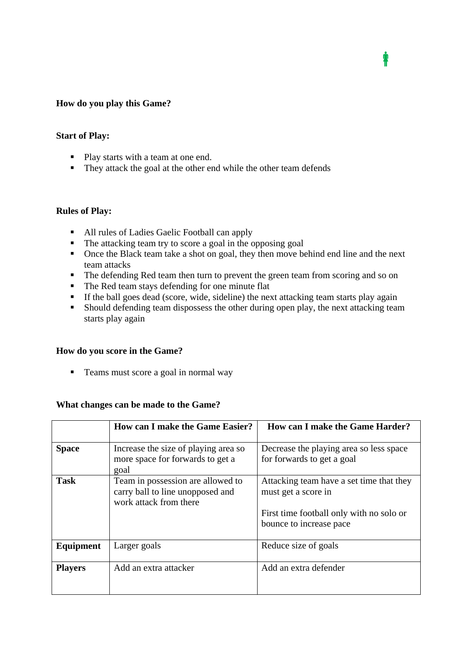### **How do you play this Game?**

### **Start of Play:**

- Play starts with a team at one end.
- They attack the goal at the other end while the other team defends

### **Rules of Play:**

- All rules of Ladies Gaelic Football can apply
- The attacking team try to score a goal in the opposing goal
- Once the Black team take a shot on goal, they then move behind end line and the next team attacks

₩

- The defending Red team then turn to prevent the green team from scoring and so on
- The Red team stays defending for one minute flat
- If the ball goes dead (score, wide, sideline) the next attacking team starts play again
- Should defending team dispossess the other during open play, the next attacking team starts play again

### **How do you score in the Game?**

■ Teams must score a goal in normal way

### **What changes can be made to the Game?**

|                  | <b>How can I make the Game Easier?</b>                                                          | <b>How can I make the Game Harder?</b>                                                                                                 |
|------------------|-------------------------------------------------------------------------------------------------|----------------------------------------------------------------------------------------------------------------------------------------|
| <b>Space</b>     | Increase the size of playing area so<br>more space for forwards to get a<br>goal                | Decrease the playing area so less space<br>for forwards to get a goal                                                                  |
| <b>Task</b>      | Team in possession are allowed to<br>carry ball to line unopposed and<br>work attack from there | Attacking team have a set time that they<br>must get a score in<br>First time football only with no solo or<br>bounce to increase pace |
| <b>Equipment</b> | Larger goals                                                                                    | Reduce size of goals                                                                                                                   |
| <b>Players</b>   | Add an extra attacker                                                                           | Add an extra defender                                                                                                                  |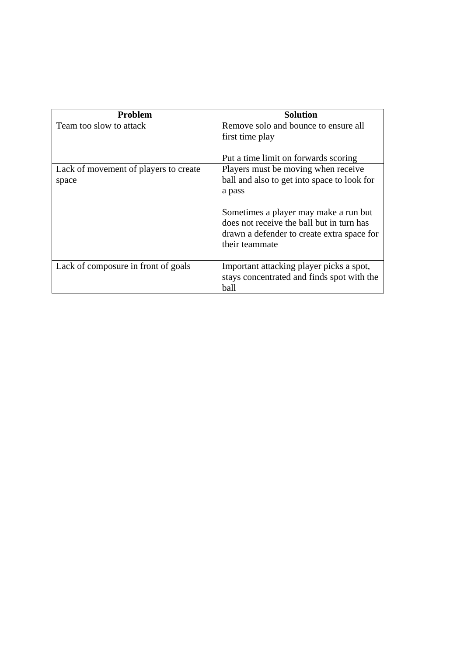| Problem                               | <b>Solution</b>                                                                                                                                    |
|---------------------------------------|----------------------------------------------------------------------------------------------------------------------------------------------------|
| Team too slow to attack               | Remove solo and bounce to ensure all                                                                                                               |
|                                       | first time play                                                                                                                                    |
|                                       | Put a time limit on forwards scoring                                                                                                               |
| Lack of movement of players to create | Players must be moving when receive                                                                                                                |
| space                                 | ball and also to get into space to look for                                                                                                        |
|                                       | a pass                                                                                                                                             |
|                                       | Sometimes a player may make a run but<br>does not receive the ball but in turn has<br>drawn a defender to create extra space for<br>their teammate |
| Lack of composure in front of goals   | Important attacking player picks a spot,<br>stays concentrated and finds spot with the<br>ball                                                     |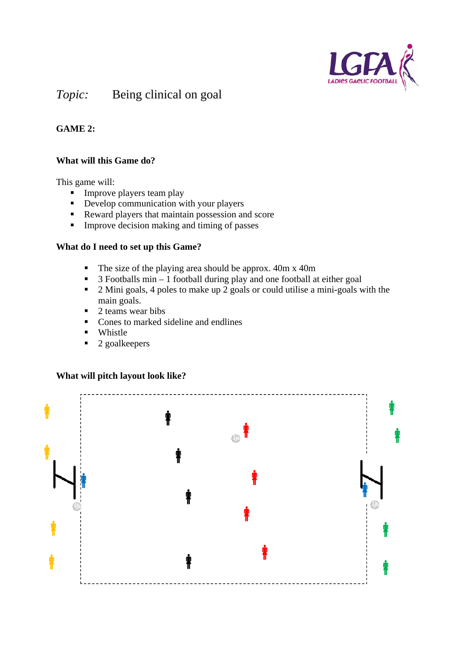

# *Topic:* Being clinical on goal

# **GAME 2:**

# **What will this Game do?**

This game will:

- $\blacksquare$  Improve players team play
- Develop communication with your players
- Reward players that maintain possession and score
- **IMPROVE DECISION making and timing of passes**

### **What do I need to set up this Game?**

- $\blacksquare$  The size of the playing area should be approx. 40m x 40m
- $\overline{\phantom{a}}$  3 Footballs min 1 football during play and one football at either goal
- <sup>2</sup> Mini goals, 4 poles to make up 2 goals or could utilise a mini-goals with the main goals.
- 2 teams wear bibs
- Cones to marked sideline and endlines
- Whistle
- $\blacksquare$  2 goalkeepers



# **What will pitch layout look like?**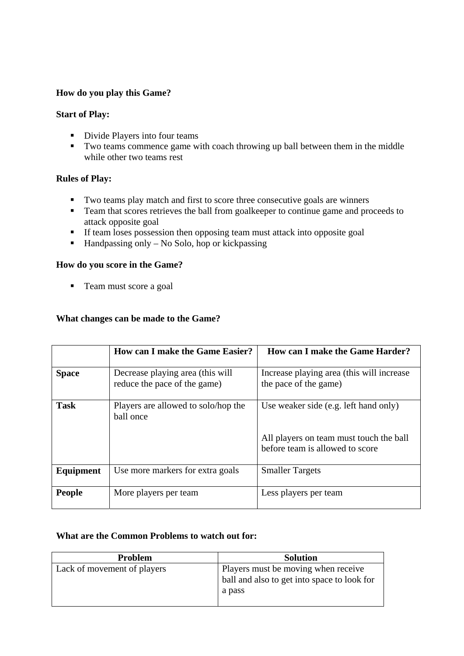## **How do you play this Game?**

### **Start of Play:**

- Divide Players into four teams
- Two teams commence game with coach throwing up ball between them in the middle while other two teams rest

## **Rules of Play:**

- Two teams play match and first to score three consecutive goals are winners
- Team that scores retrieves the ball from goalkeeper to continue game and proceeds to attack opposite goal
- If team loses possession then opposing team must attack into opposite goal
- $\blacksquare$  Handpassing only No Solo, hop or kickpassing

## **How do you score in the Game?**

■ Team must score a goal

## **What changes can be made to the Game?**

|               | <b>How can I make the Game Easier?</b>                           | <b>How can I make the Game Harder?</b>                                     |
|---------------|------------------------------------------------------------------|----------------------------------------------------------------------------|
| <b>Space</b>  | Decrease playing area (this will<br>reduce the pace of the game) | Increase playing area (this will increase<br>the pace of the game)         |
| <b>Task</b>   | Players are allowed to solo/hop the<br>ball once                 | Use weaker side (e.g. left hand only)                                      |
|               |                                                                  | All players on team must touch the ball<br>before team is allowed to score |
| Equipment     | Use more markers for extra goals                                 | <b>Smaller Targets</b>                                                     |
| <b>People</b> | More players per team                                            | Less players per team                                                      |

### **What are the Common Problems to watch out for:**

| <b>Problem</b>              | <b>Solution</b>                                                                              |
|-----------------------------|----------------------------------------------------------------------------------------------|
| Lack of movement of players | Players must be moving when receive<br>ball and also to get into space to look for<br>a pass |